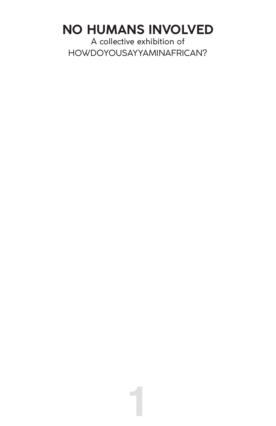**NO HUMANS INVOLVED**

A collective exhibition of HOWDOYOUSAYYAMINAFRICAN?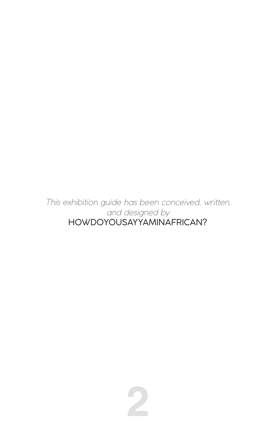*This exhibition guide has been conceived, written, and designed by* HOWDOYOUSAYYAMINAFRICAN?

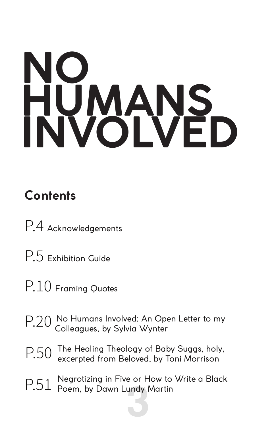# **NO HUMANS INVOLVED**

## **Contents**

- P.4 Acknowledgements
- P.5 Exhibition Guide
- P.10 Framing Quotes
- P.20 No Humans Involved: An Open Letter to my<br>Collegaues by Sylvig Wynter Colleagues, by Sylvia Wynter
- P.50 The Healing Theology of Baby Suggs, holy,<br>P.50 excerpted from Beloved, by Toni Morrison excerpted from Beloved, by Toni Morrison
- undy r  $D \nabla 1$  Negrotizing in Five or How to Write a Black P.51 Poem, by Dawn Lundy Martin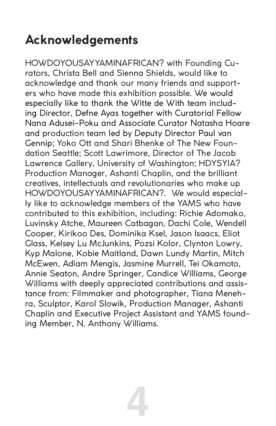## **Acknowledgements**

HOWDOYOUSAYYAMINAFRICAN? with Founding Curators, Christa Bell and Sienna Shields, would like to acknowledge and thank our many friends and supporters who have made this exhibition possible. We would especially like to thank the Witte de With team including Director, Defne Ayas together with Curatorial Fellow Nana Adusei-Poku and Associate Curator Natasha Hoare and production team led by Deputy Director Paul van Gennip; Yoko Ott and Shari Bhenke of The New Foundation Seattle; Scott Lawrimore, Director of The Jacob Lawrence Gallery, University of Washington; HDYSYIA? Production Manager, Ashanti Chaplin, and the brilliant creatives, intellectuals and revolutionaries who make up HOWDOYOUSAYYAMINAFRICAN?. We would especially like to acknowledge members of the YAMS who have contributed to this exhibition, including: Richie Adomako, Luvinsky Atche, Maureen Catbagan, Dachi Cole, Wendell Cooper, Kirikoo Des, Dominika Ksel, Jason Isaacs, Eliot Glass, Kelsey Lu McJunkins, Pozsi Kolor, Clynton Lowry, Kyp Malone, Kobie Maitland, Dawn Lundy Martin, Mitch McEwen, Adiam Mengis, Jasmine Murrell, Tei Okamoto, Annie Seaton, Andre Springer, Candice Williams, George Williams with deeply appreciated contributions and assistance from: Filmmaker and photographer, Tiana Menehra, Sculptor, Karol Slowik, Production Manager, Ashanti Chaplin and Executive Project Assistant and YAMS founding Member, N. Anthony Williams.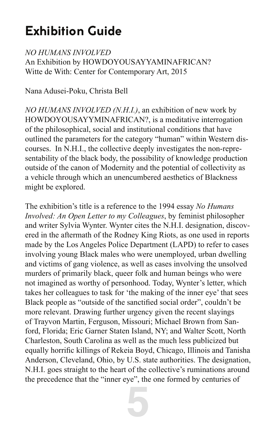## **Exhibition Guide**

*NO HUMANS INVOLVED* An Exhibition by HOWDOYOUSAYYAMINAFRICAN? Witte de With: Center for Contemporary Art, 2015

Nana Adusei-Poku, Christa Bell

*NO HUMANS INVOLVED (N.H.I.)*, an exhibition of new work by HOWDOYOUSAYYMINAFRICAN?, is a meditative interrogation of the philosophical, social and institutional conditions that have outlined the parameters for the category "human" within Western discourses. In N.H.I., the collective deeply investigates the non-representability of the black body, the possibility of knowledge production outside of the canon of Modernity and the potential of collectivity as a vehicle through which an unencumbered aesthetics of Blackness might be explored.

The exhibition's title is a reference to the 1994 essay *No Humans Involved: An Open Letter to my Colleagues*, by feminist philosopher and writer Sylvia Wynter. Wynter cites the N.H.I. designation, discovered in the aftermath of the Rodney King Riots, as one used in reports made by the Los Angeles Police Department (LAPD) to refer to cases involving young Black males who were unemployed, urban dwelling and victims of gang violence, as well as cases involving the unsolved murders of primarily black, queer folk and human beings who were not imagined as worthy of personhood. Today, Wynter's letter, which takes her colleagues to task for 'the making of the inner eye' that sees Black people as "outside of the sanctified social order", couldn't be more relevant. Drawing further urgency given the recent slayings of Trayvon Martin, Ferguson, Missouri; Michael Brown from Sanford, Florida; Eric Garner Staten Island, NY; and Walter Scott, North Charleston, South Carolina as well as the much less publicized but equally horrific killings of Rekeia Boyd, Chicago, Illinois and Tanisha Anderson, Cleveland, Ohio, by U.S. state authorities. The designation, N.H.I. goes straight to the heart of the collective's ruminations around the precedence that the "inner eye", the one formed by centuries of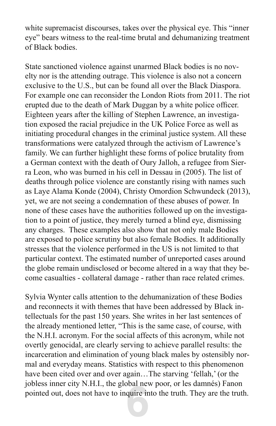white supremacist discourses, takes over the physical eye. This "inner eye" bears witness to the real-time brutal and dehumanizing treatment of Black bodies.

State sanctioned violence against unarmed Black bodies is no novelty nor is the attending outrage. This violence is also not a concern exclusive to the U.S., but can be found all over the Black Diaspora. For example one can reconsider the London Riots from 2011. The riot erupted due to the death of Mark Duggan by a white police officer. Eighteen years after the killing of Stephen Lawrence, an investigation exposed the racial prejudice in the UK Police Force as well as initiating procedural changes in the criminal justice system. All these transformations were catalyzed through the activism of Lawrence's family. We can further highlight these forms of police brutality from a German context with the death of Oury Jalloh, a refugee from Sierra Leon, who was burned in his cell in Dessau in (2005). The list of deaths through police violence are constantly rising with names such as Laye Alama Konde (2004), Christy Omordion Schwundeck (2013), yet, we are not seeing a condemnation of these abuses of power. In none of these cases have the authorities followed up on the investigation to a point of justice, they merely turned a blind eye, dismissing any charges. These examples also show that not only male Bodies are exposed to police scrutiny but also female Bodies. It additionally stresses that the violence performed in the US is not limited to that particular context. The estimated number of unreported cases around the globe remain undisclosed or become altered in a way that they become casualties - collateral damage - rather than race related crimes.

pointed out, does not have to inquire into the truth. They are the truth. Sylvia Wynter calls attention to the dehumanization of these Bodies and reconnects it with themes that have been addressed by Black intellectuals for the past 150 years. She writes in her last sentences of the already mentioned letter, "This is the same case, of course, with the N.H.I. acronym. For the social affects of this acronym, while not overtly genocidal, are clearly serving to achieve parallel results: the incarceration and elimination of young black males by ostensibly normal and everyday means. Statistics with respect to this phenomenon have been cited over and over again...The starving 'fellah,' (or the jobless inner city N.H.I., the global new poor, or les damnés) Fanon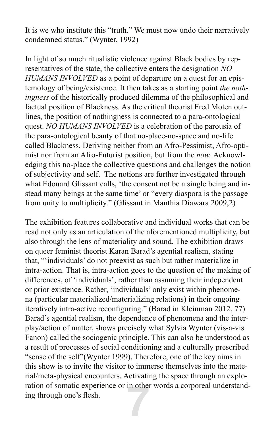It is we who institute this "truth." We must now undo their narratively condemned status." (Wynter, 1992)

In light of so much ritualistic violence against Black bodies by representatives of the state, the collective enters the designation *NO HUMANS INVOLVED* as a point of departure on a quest for an epistemology of being/existence. It then takes as a starting point *the nothingness* of the historically produced dilemma of the philosophical and factual position of Blackness. As the critical theorist Fred Moten outlines, the position of nothingness is connected to a para-ontological quest. *NO HUMANS INVOLVED* is a celebration of the parousia of the para-ontological beauty of that no-place-no-space and no-life called Blackness. Deriving neither from an Afro-Pessimist, Afro-optimist nor from an Afro-Futurist position, but from the *now.* Acknowledging this no-place the collective questions and challenges the notion of subjectivity and self. The notions are further investigated through what Edouard Glissant calls, 'the consent not be a single being and instead many beings at the same time' or "every diaspora is the passage from unity to multiplicity." (Glissant in Manthia Diawara 2009,2)

**7** The exhibition features collaborative and individual works that can be read not only as an articulation of the aforementioned multiplicity, but also through the lens of materiality and sound. The exhibition draws on queer feminist theorist Karan Barad's agential realism, stating that, "'individuals' do not preexist as such but rather materialize in intra-action. That is, intra-action goes to the question of the making of differences, of 'individuals', rather than assuming their independent or prior existence. Rather, 'individuals' only exist within phenomena (particular materialized/materializing relations) in their ongoing iteratively intra-active reconfiguring." (Barad in Kleinman 2012, 77) Barad's agential realism, the dependence of phenomena and the interplay/action of matter, shows precisely what Sylvia Wynter (vis-a-vis Fanon) called the sociogenic principle. This can also be understood as a result of processes of social conditioning and a culturally prescribed "sense of the self"(Wynter 1999). Therefore, one of the key aims in this show is to invite the visitor to immerse themselves into the material/meta-physical encounters. Activating the space through an exploration of somatic experience or in other words a corporeal understanding through one's flesh.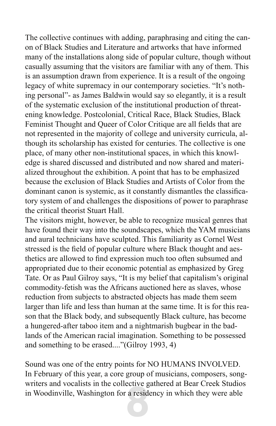The collective continues with adding, paraphrasing and citing the canon of Black Studies and Literature and artworks that have informed many of the installations along side of popular culture, though without casually assuming that the visitors are familiar with any of them. This is an assumption drawn from experience. It is a result of the ongoing legacy of white supremacy in our contemporary societies. "It's nothing personal"- as James Baldwin would say so elegantly, it is a result of the systematic exclusion of the institutional production of threatening knowledge. Postcolonial, Critical Race, Black Studies, Black Feminist Thought and Queer of Color Critique are all fields that are not represented in the majority of college and university curricula, although its scholarship has existed for centuries. The collective is one place, of many other non-institutional spaces, in which this knowledge is shared discussed and distributed and now shared and materialized throughout the exhibition. A point that has to be emphasized because the exclusion of Black Studies and Artists of Color from the dominant canon is systemic, as it constantly dismantles the classificatory system of and challenges the dispositions of power to paraphrase the critical theorist Stuart Hall.

The visitors might, however, be able to recognize musical genres that have found their way into the soundscapes, which the YAM musicians and aural technicians have sculpted. This familiarity as Cornel West stressed is the field of popular culture where Black thought and aesthetics are allowed to find expression much too often subsumed and appropriated due to their economic potential as emphasized by Greg Tate. Or as Paul Gilroy says, "It is my belief that capitalism's original commodity-fetish was the Africans auctioned here as slaves, whose reduction from subjects to abstracted objects has made them seem larger than life and less than human at the same time. It is for this reason that the Black body, and subsequently Black culture, has become a hungered-after taboo item and a nightmarish bugbear in the badlands of the American racial imagination. Something to be possessed and something to be erased...."(Gilroy 1993, 4)

in Woodinville, Washington for a residency in which they were able Sound was one of the entry points for NO HUMANS INVOLVED. In February of this year, a core group of musicians, composers, songwriters and vocalists in the collective gathered at Bear Creek Studios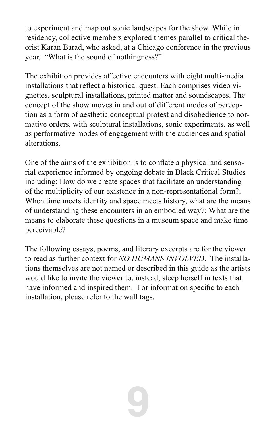to experiment and map out sonic landscapes for the show. While in residency, collective members explored themes parallel to critical theorist Karan Barad, who asked, at a Chicago conference in the previous year, "What is the sound of nothingness?"

The exhibition provides affective encounters with eight multi-media installations that reflect a historical quest. Each comprises video vignettes, sculptural installations, printed matter and soundscapes. The concept of the show moves in and out of different modes of perception as a form of aesthetic conceptual protest and disobedience to normative orders, with sculptural installations, sonic experiments, as well as performative modes of engagement with the audiences and spatial alterations.

One of the aims of the exhibition is to conflate a physical and sensorial experience informed by ongoing debate in Black Critical Studies including: How do we create spaces that facilitate an understanding of the multiplicity of our existence in a non-representational form?; When time meets identity and space meets history, what are the means of understanding these encounters in an embodied way?; What are the means to elaborate these questions in a museum space and make time perceivable?

The following essays, poems, and literary excerpts are for the viewer to read as further context for *NO HUMANS INVOLVED*. The installations themselves are not named or described in this guide as the artists would like to invite the viewer to, instead, steep herself in texts that have informed and inspired them. For information specific to each installation, please refer to the wall tags.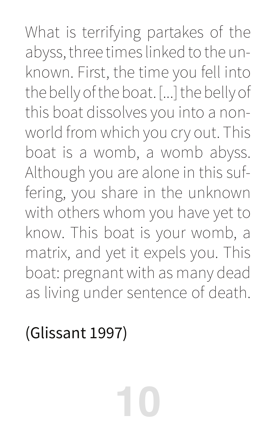What is terrifying partakes of the abyss, three times linked to the unknown. First, the time you fell into the belly of the boat. [...] the belly of this boat dissolves you into a nonworld from which you cry out. This boat is a womb, a womb abyss. Although you are alone in this suffering, you share in the unknown with others whom you have yet to know. This boat is your womb, a matrix, and yet it expels you. This boat: pregnant with as many dead as living under sentence of death.

**10**

(Glissant 1997)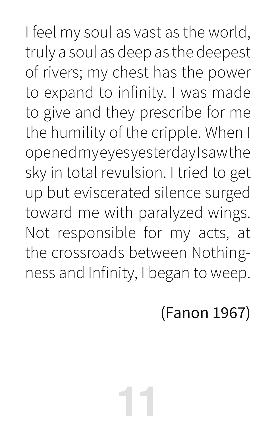I feel my soul as vast as the world, truly a soul as deep as the deepest of rivers; my chest has the power to expand to infinity. I was made to give and they prescribe for me the humility of the cripple. When I opened my eyes yesterday I saw the sky in total revulsion. I tried to get up but eviscerated silence surged toward me with paralyzed wings. Not responsible for my acts, at the crossroads between Nothingness and Infinity, I began to weep.

**11**

(Fanon 1967)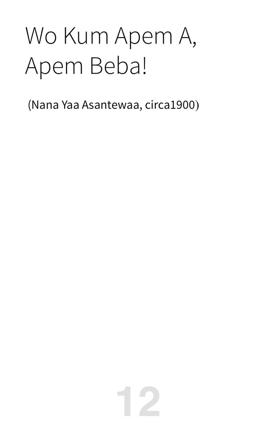## Wo Kum Apem A, Apem Beba!

(Nana Yaa Asantewaa, circa1900)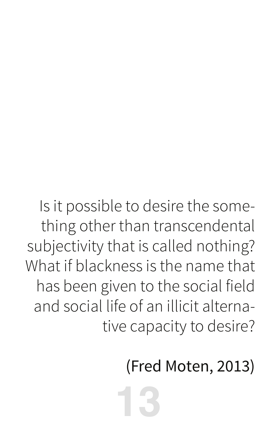Is it possible to desire the something other than transcendental subjectivity that is called nothing? What if blackness is the name that has been given to the social field and social life of an illicit alternative capacity to desire?

**13**

(Fred Moten, 2013)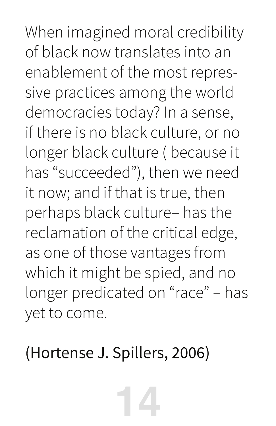When imagined moral credibility of black now translates into an enablement of the most repressive practices among the world democracies today? In a sense, if there is no black culture, or no longer black culture ( because it has "succeeded"), then we need it now; and if that is true, then perhaps black culture– has the reclamation of the critical edge, as one of those vantages from which it might be spied, and no longer predicated on "race" – has yet to come.

(Hortense J. Spillers, 2006)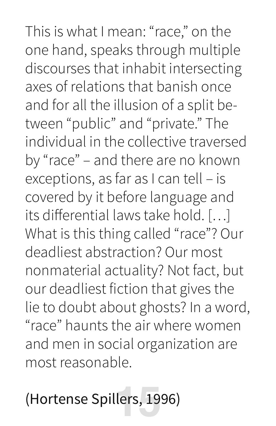This is what I mean: "race," on the one hand, speaks through multiple discourses that inhabit intersecting axes of relations that banish once and for all the illusion of a split between "public" and "private." The individual in the collective traversed by "race" – and there are no known exceptions, as far as I can tell – is covered by it before language and its differential laws take hold. [...] What is this thing called "race"? Our deadliest abstraction? Our most nonmaterial actuality? Not fact, but our deadliest fiction that gives the lie to doubt about ghosts? In a word, "race" haunts the air where women and men in social organization are most reasonable.

lers, 19 (Hortense Spillers, 1996)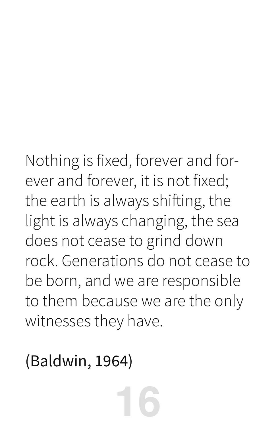Nothing is fixed, forever and forever and forever, it is not fixed; the earth is always shifting, the light is always changing, the sea does not cease to grind down rock. Generations do not cease to be born, and we are responsible to them because we are the only witnesses they have.

**16**

(Baldwin, 1964)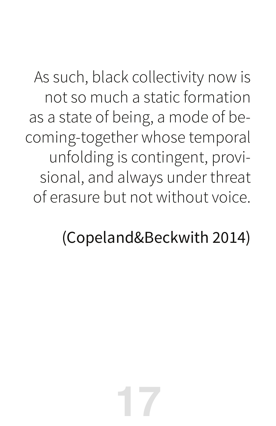As such, black collectivity now is not so much a static formation as a state of being, a mode of becoming-together whose temporal unfolding is contingent, provisional, and always under threat of erasure but not without voice.

## (Copeland&Beckwith 2014)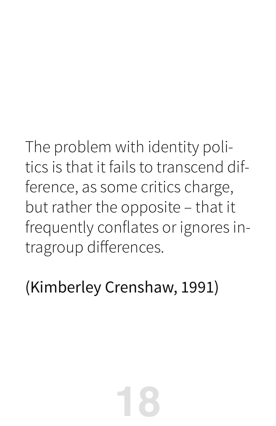The problem with identity politics is that it fails to transcend difference, as some critics charge, but rather the opposite – that it frequently conflates or ignores intragroup differences.

(Kimberley Crenshaw, 1991)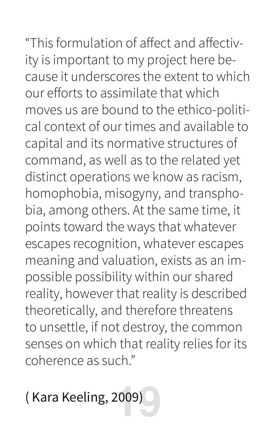"This formulation of affect and affectivity is important to my project here because it underscores the extent to which our efforts to assimilate that which moves us are bound to the ethico-political context of our times and available to capital and its normative structures of command, as well as to the related yet distinct operations we know as racism, homophobia, misogyny, and transphobia, among others. At the same time, it points toward the ways that whatever escapes recognition, whatever escapes meaning and valuation, exists as an impossible possibility within our shared reality, however that reality is described theoretically, and therefore threatens to unsettle, if not destroy, the common senses on which that reality relies for its coherence as such."

**19** ( Kara Keeling, 2009)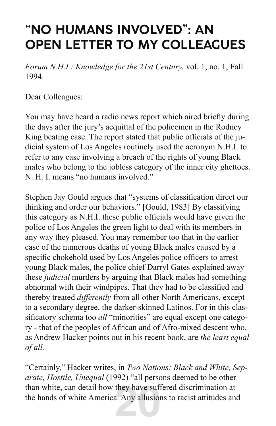## **"NO HUMANS INVOLVED": AN OPEN LETTER TO MY COLLEAGUES**

*Forum N.H.I.: Knowledge for the 21st Century.* vol. 1, no. 1, Fall 1994.

Dear Colleagues:

You may have heard a radio news report which aired briefly during the days after the jury's acquittal of the policemen in the Rodney King beating case. The report stated that public officials of the judicial system of Los Angeles routinely used the acronym N.H.I. to refer to any case involving a breach of the rights of young Black males who belong to the jobless category of the inner city ghettoes. N. H. I. means "no humans involved."

Stephen Jay Gould argues that "systems of classification direct our thinking and order our behaviors." [Gould, 1983] By classifying this category as N.H.I. these public officials would have given the police of Los Angeles the green light to deal with its members in any way they pleased. You may remember too that in the earlier case of the numerous deaths of young Black males caused by a specific chokehold used by Los Angeles police officers to arrest young Black males, the police chief Darryl Gates explained away these *judicial* murders by arguing that Black males had something abnormal with their windpipes. That they had to be classified and thereby treated *differently* from all other North Americans, except to a secondary degree, the darker-skinned Latinos. For in this classificatory schema too *all* "minorities" are equal except one category - that of the peoples of African and of Afro-mixed descent who, as Andrew Hacker points out in his recent book, are *the least equal of all.*

they have sun<br>a. Any allusion<br>**2008** "Certainly," Hacker writes, in *Two Nations: Black and White, Separate, Hostile, Unequal* (1992) "all persons deemed to be other than white, can detail how they have suffered discrimination at the hands of white America. Any allusions to racist attitudes and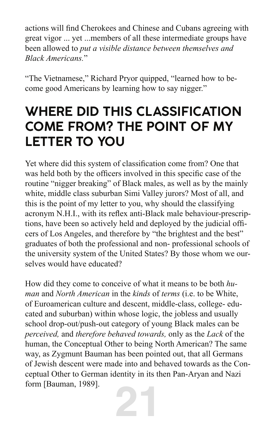actions will find Cherokees and Chinese and Cubans agreeing with great vigor ... yet ...members of all these intermediate groups have been allowed to *put a visible distance between themselves and Black Americans.*"

"The Vietnamese," Richard Pryor quipped, "learned how to become good Americans by learning how to say nigger."

## **WHERE DID THIS CLASSIFICATION COME FROM? THE POINT OF MY LETTER TO YOU**

Yet where did this system of classification come from? One that was held both by the officers involved in this specific case of the routine "nigger breaking" of Black males, as well as by the mainly white, middle class suburban Simi Valley jurors? Most of all, and this is the point of my letter to you, why should the classifying acronym N.H.I., with its reflex anti-Black male behaviour-prescriptions, have been so actively held and deployed by the judicial officers of Los Angeles, and therefore by "the brightest and the best" graduates of both the professional and non- professional schools of the university system of the United States? By those whom we ourselves would have educated?

**21** How did they come to conceive of what it means to be both *human* and *North American* in the *kinds* of *terms* (i.e. to be White, of Euroamerican culture and descent, middle-class, college- educated and suburban) within whose logic, the jobless and usually school drop-out/push-out category of young Black males can be *perceived,* and *therefore behaved towards,* only as the *Lack* of the human, the Conceptual Other to being North American? The same way, as Zygmunt Bauman has been pointed out, that all Germans of Jewish descent were made into and behaved towards as the Conceptual Other to German identity in its then Pan-Aryan and Nazi form [Bauman, 1989].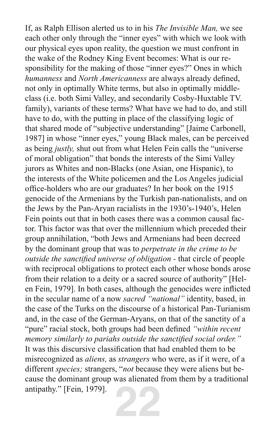**22** If, as Ralph Ellison alerted us to in his *The Invisible Man,* we see each other only through the "inner eyes" with which we look with our physical eyes upon reality, the question we must confront in the wake of the Rodney King Event becomes: What is our responsibility for the making of those "inner eyes?" Ones in which *humanness* and *North Americanness* are always already defined, not only in optimally White terms, but also in optimally middleclass (i.e. both Simi Valley, and secondarily Cosby-Huxtable TV. family), variants of these terms? What have we had to do, and still have to do, with the putting in place of the classifying logic of that shared mode of "subjective understanding" [Jaime Carbonell, 1987] in whose "inner eyes," young Black males, can be perceived as being *justly,* shut out from what Helen Fein calls the "universe of moral obligation" that bonds the interests of the Simi Valley jurors as Whites and non-Blacks (one Asian, one Hispanic), to the interests of the White policemen and the Los Angeles judicial office-holders who are our graduates? In her book on the 1915 genocide of the Armenians by the Turkish pan-nationalists, and on the Jews by the Pan-Aryan racialists in the 1930's-1940's, Helen Fein points out that in both cases there was a common causal factor. This factor was that over the millennium which preceded their group annihilation, "both Jews and Armenians had been decreed by the dominant group that was to *perpetrate in the crime to be outside the sanctified universe of obligation* - that circle of people with reciprocal obligations to protect each other whose bonds arose from their relation to a deity or a sacred source of authority" [Helen Fein, 1979]. In both cases, although the genocides were inflicted in the secular name of a now *sacred "national"* identity, based, in the case of the Turks on the discourse of a historical Pan-Turianism and, in the case of the German-Aryans, on that of the sanctity of a "pure" racial stock, both groups had been defined "within recent *memory similarly to pariahs outside the sanctified social order.*" It was this discursive classification that had enabled them to be misrecognized as *aliens,* as *strangers* who were, as if it were, of a different *species;* strangers, "*not* because they were aliens but because the dominant group was alienated from them by a traditional antipathy." [Fein, 1979].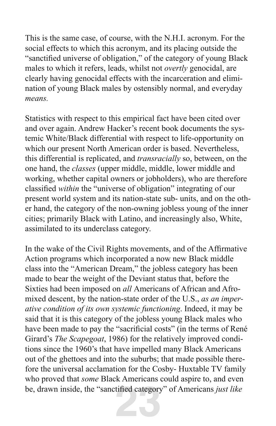This is the same case, of course, with the N.H.I. acronym. For the social effects to which this acronym, and its placing outside the "sanctified universe of obligation," of the category of young Black males to which it refers, leads, whilst not *overtly* genocidal, are clearly having genocidal effects with the incarceration and elimination of young Black males by ostensibly normal, and everyday *means.*

Statistics with respect to this empirical fact have been cited over and over again. Andrew Hacker's recent book documents the systemic White/Black differential with respect to life-opportunity on which our present North American order is based. Nevertheless, this differential is replicated, and *transracially* so, between, on the one hand, the *classes* (upper middle, middle, lower middle and working, whether capital owners or jobholders), who are therefore classified *within* the "universe of obligation" integrating of our present world system and its nation-state sub- units, and on the other hand, the category of the non-owning jobless young of the inner cities; primarily Black with Latino, and increasingly also, White, assimilated to its underclass category.

be, drawn inside, the "sanctified category" of Americans *just like*  $\frac{d}{dx}$ In the wake of the Civil Rights movements, and of the Affirmative Action programs which incorporated a now new Black middle class into the "American Dream," the jobless category has been made to bear the weight of the Deviant status that, before the Sixties had been imposed on *all* Americans of African and Afromixed descent, by the nation-state order of the U.S., *as an imperative condition of its own systemic functioning*. Indeed, it may be said that it is this category of the jobless young Black males who have been made to pay the "sacrificial costs" (in the terms of René Girard's *The Scapegoat*, 1986) for the relatively improved conditions since the 1960's that have impelled many Black Americans out of the ghettoes and into the suburbs; that made possible therefore the universal acclamation for the Cosby- Huxtable TV family who proved that *some* Black Americans could aspire to, and even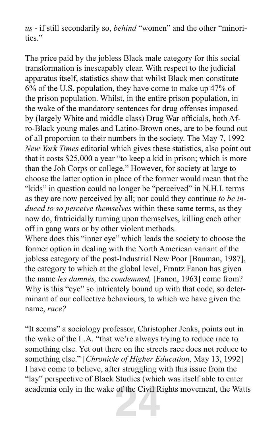*us* - if still secondarily so, *behind* "women" and the other "minorities."

The price paid by the jobless Black male category for this social transformation is inescapably clear. With respect to the judicial apparatus itself, statistics show that whilst Black men constitute 6% of the U.S. population, they have come to make up 47% of the prison population. Whilst, in the entire prison population, in the wake of the mandatory sentences for drug offenses imposed by (largely White and middle class) Drug War officials, both Afro-Black young males and Latino-Brown ones, are to be found out of all proportion to their numbers in the society. The May 7, 1992 *New York Times* editorial which gives these statistics, also point out that it costs \$25,000 a year "to keep a kid in prison; which is more than the Job Corps or college." However, for society at large to choose the latter option in place of the former would mean that the "kids" in question could no longer be "perceived" in N.H.I. terms as they are now perceived by all; nor could they continue *to be induced to so perceive themselves* within these same terms, as they now do, fratricidally turning upon themselves, killing each other off in gang wars or by other violent methods.

Where does this "inner eye" which leads the society to choose the former option in dealing with the North American variant of the jobless category of the post-Industrial New Poor [Bauman, 1987], the category to which at the global level, Frantz Fanon has given the name *les damnés,* the *condemned,* [Fanon, 1963] come from? Why is this "eye" so intricately bound up with that code, so determinant of our collective behaviours, to which we have given the name, *race?*

academia only in the wake of the Civil Rights movement, the Watts "It seems" a sociology professor, Christopher Jenks, points out in the wake of the L.A. "that we're always trying to reduce race to something else. Yet out there on the streets race does not reduce to something else." [*Chronicle of Higher Education,* May 13, 1992] I have come to believe, after struggling with this issue from the "lay" perspective of Black Studies (which was itself able to enter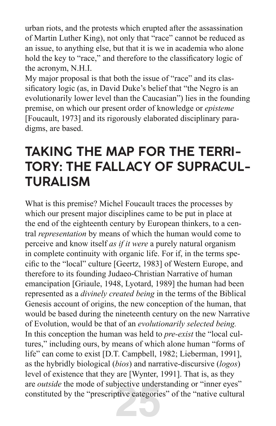urban riots, and the protests which erupted after the assassination of Martin Luther King), not only that "race" cannot be reduced as an issue, to anything else, but that it is we in academia who alone hold the key to "race," and therefore to the classificatory logic of the acronym, N.H.I.

My major proposal is that both the issue of "race" and its classificatory logic (as, in David Duke's belief that "the Negro is an evolutionarily lower level than the Caucasian") lies in the founding premise, on which our present order of knowledge or *episteme*  [Foucault, 1973] and its rigorously elaborated disciplinary paradigms, are based.

#### **TAKING THE MAP FOR THE TERRI-TORY: THE FALLACY OF SUPRACUL-TURALISM**

**25**constituted by the "prescriptive categories" of the "native cultural What is this premise? Michel Foucault traces the processes by which our present major disciplines came to be put in place at the end of the eighteenth century by European thinkers, to a central *representation* by means of which the human would come to perceive and know itself *as if it were* a purely natural organism in complete continuity with organic life. For if, in the terms specific to the "local" culture [Geertz, 1983] of Western Europe, and therefore to its founding Judaeo-Christian Narrative of human emancipation [Griaule, 1948, Lyotard, 1989] the human had been represented as a *divinely created being* in the terms of the Biblical Genesis account of origins, the new conception of the human, that would be based during the nineteenth century on the new Narrative of Evolution, would be that of an *evolutionarily selected being.*  In this conception the human was held to *pre-exist* the "local cultures," including ours, by means of which alone human "forms of life" can come to exist [D.T. Campbell, 1982; Lieberman, 1991], as the hybridly biological (*bios*) and narrative-discursive (*logos*) level of existence that they are [Wynter, 1991]. That is, as they are *outside* the mode of subjective understanding or "inner eyes"

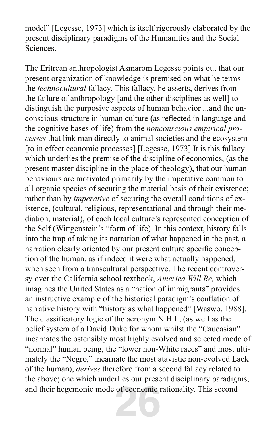model" [Legesse, 1973] which is itself rigorously elaborated by the present disciplinary paradigms of the Humanities and the Social **Sciences** 

and their hegemonic mode of economic rationality. This second The Eritrean anthropologist Asmarom Legesse points out that our present organization of knowledge is premised on what he terms the *technocultural* fallacy. This fallacy, he asserts, derives from the failure of anthropology [and the other disciplines as well] to distinguish the purposive aspects of human behavior ...and the unconscious structure in human culture (as reflected in language and the cognitive bases of life) from the *nonconscious empirical processes* that link man directly to animal societies and the ecosystem [to in effect economic processes] [Legesse, 1973] It is this fallacy which underlies the premise of the discipline of economics, (as the present master discipline in the place of theology), that our human behaviours are motivated primarily by the imperative common to all organic species of securing the material basis of their existence; rather than by *imperative* of securing the overall conditions of existence, (cultural, religious, representational and through their mediation, material), of each local culture's represented conception of the Self (Wittgenstein's "form of life). In this context, history falls into the trap of taking its narration of what happened in the past, a narration clearly oriented by our present culture specific conception of the human, as if indeed it were what actually happened, when seen from a transcultural perspective. The recent controversy over the California school textbook, *America Will Be,* which imagines the United States as a "nation of immigrants" provides an instructive example of the historical paradigm's conflation of narrative history with "history as what happened" [Waswo, 1988]. The classificatory logic of the acronym N.H.I., (as well as the belief system of a David Duke for whom whilst the "Caucasian" incarnates the ostensibly most highly evolved and selected mode of "normal" human being, the "lower non-White races" and most ultimately the "Negro," incarnate the most atavistic non-evolved Lack of the human), *derives* therefore from a second fallacy related to the above; one which underlies our present disciplinary paradigms,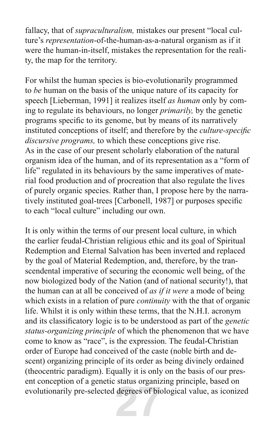fallacy, that of *supraculturalism,* mistakes our present "local culture's *representation*-of-the-human-as-a-natural organism as if it were the human-in-itself, mistakes the representation for the reality, the map for the territory.

For whilst the human species is bio-evolutionarily programmed to *be* human on the basis of the unique nature of its capacity for speech [Lieberman, 1991] it realizes itself *as human* only by coming to regulate its behaviours, no longer *primarily,* by the genetic programs specific to its genome, but by means of its narratively instituted conceptions of itself; and therefore by the *culture-specific discursive programs,* to which these conceptions give rise. As in the case of our present scholarly elaboration of the natural organism idea of the human, and of its representation as a "form of life" regulated in its behaviours by the same imperatives of material food production and of procreation that also regulate the lives of purely organic species. Rather than, I propose here by the narratively instituted goal-trees [Carbonell, 1987] or purposes specific to each "local culture" including our own.

evolutionarily pre-selected degrees of biological value, as iconized<br>  $\frac{1}{2}$ It is only within the terms of our present local culture, in which the earlier feudal-Christian religious ethic and its goal of Spiritual Redemption and Eternal Salvation has been inverted and replaced by the goal of Material Redemption, and, therefore, by the transcendental imperative of securing the economic well being, of the now biologized body of the Nation (and of national security!), that the human can at all be conceived of *as if it were* a mode of being which exists in a relation of pure *continuity* with the that of organic life. Whilst it is only within these terms, that the N.H.I. acronym and its classificatory logic is to be understood as part of the *genetic status-organizing principle* of which the phenomenon that we have come to know as "race", is the expression. The feudal-Christian order of Europe had conceived of the caste (noble birth and descent) organizing principle of its order as being divinely ordained (theocentric paradigm). Equally it is only on the basis of our present conception of a genetic status organizing principle, based on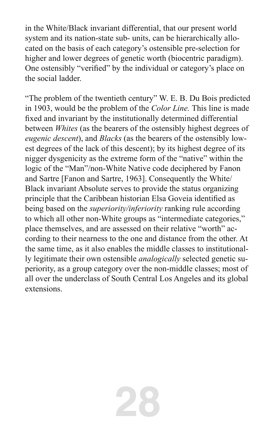in the White/Black invariant differential, that our present world system and its nation-state sub- units, can be hierarchically allocated on the basis of each category's ostensible pre-selection for higher and lower degrees of genetic worth (biocentric paradigm). One ostensibly "verified" by the individual or category's place on the social ladder.

"The problem of the twentieth century" W. E. B. Du Bois predicted in 1903, would be the problem of the *Color Line.* This line is made fixed and invariant by the institutionally determined differential between *Whites* (as the bearers of the ostensibly highest degrees of *eugenic descent*), and *Blacks* (as the bearers of the ostensibly lowest degrees of the lack of this descent); by its highest degree of its nigger dysgenicity as the extreme form of the "native" within the logic of the "Man"/non-White Native code deciphered by Fanon and Sartre [Fanon and Sartre, 1963]. Consequently the White/ Black invariant Absolute serves to provide the status organizing principle that the Caribbean historian Elsa Goveia identified as being based on the *superiority/inferiority* ranking rule according to which all other non-White groups as "intermediate categories," place themselves, and are assessed on their relative "worth" according to their nearness to the one and distance from the other. At the same time, as it also enables the middle classes to institutionally legitimate their own ostensible *analogically* selected genetic superiority, as a group category over the non-middle classes; most of all over the underclass of South Central Los Angeles and its global extensions.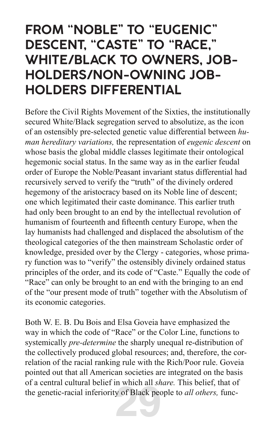#### **FROM "NOBLE" TO "EUGENIC" DESCENT, "CASTE" TO "RACE," WHITE/BLACK TO OWNERS, JOB-HOLDERS/NON-OWNING JOB-HOLDERS DIFFERENTIAL**

Before the Civil Rights Movement of the Sixties, the institutionally secured White/Black segregation served to absolutize, as the icon of an ostensibly pre-selected genetic value differential between *human hereditary variations,* the representation of *eugenic descent* on whose basis the global middle classes legitimate their ontological hegemonic social status. In the same way as in the earlier feudal order of Europe the Noble/Peasant invariant status differential had recursively served to verify the "truth" of the divinely ordered hegemony of the aristocracy based on its Noble line of descent; one which legitimated their caste dominance. This earlier truth had only been brought to an end by the intellectual revolution of humanism of fourteenth and fifteenth century Europe, when the lay humanists had challenged and displaced the absolutism of the theological categories of the then mainstream Scholastic order of knowledge, presided over by the Clergy - categories, whose primary function was to "verify" the ostensibly divinely ordained status principles of the order, and its code of "Caste." Equally the code of "Race" can only be brought to an end with the bringing to an end of the "our present mode of truth" together with the Absolutism of its economic categories.

**29** the genetic-racial inferiority of Black people to *all others,* func-Both W. E. B. Du Bois and Elsa Goveia have emphasized the way in which the code of "Race" or the Color Line, functions to systemically *pre-determine* the sharply unequal re-distribution of the collectively produced global resources; and, therefore, the correlation of the racial ranking rule with the Rich/Poor rule. Goveia pointed out that all American societies are integrated on the basis of a central cultural belief in which all *share.* This belief, that of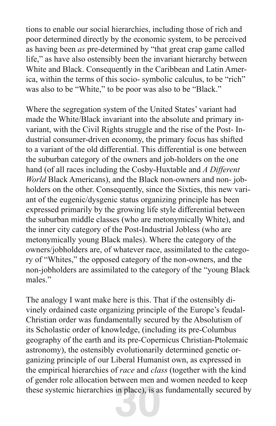tions to enable our social hierarchies, including those of rich and poor determined directly by the economic system, to be perceived as having been *as* pre-determined by "that great crap game called life," as have also ostensibly been the invariant hierarchy between White and Black. Consequently in the Caribbean and Latin America, within the terms of this socio- symbolic calculus, to be "rich" was also to be "White," to be poor was also to be "Black."

Where the segregation system of the United States' variant had made the White/Black invariant into the absolute and primary invariant, with the Civil Rights struggle and the rise of the Post- Industrial consumer-driven economy, the primary focus has shifted to a variant of the old differential. This differential is one between the suburban category of the owners and job-holders on the one hand (of all races including the Cosby-Huxtable and *A Different World* Black Americans), and the Black non-owners and non- jobholders on the other. Consequently, since the Sixties, this new variant of the eugenic/dysgenic status organizing principle has been expressed primarily by the growing life style differential between the suburban middle classes (who are metonymically White), and the inner city category of the Post-Industrial Jobless (who are metonymically young Black males). Where the category of the owners/jobholders are, of whatever race, assimilated to the category of "Whites," the opposed category of the non-owners, and the non-jobholders are assimilated to the category of the "young Black males."

these systemic hierarchies in place), is as fundamentally secured by  $\overline{\phantom{a}}$ The analogy I want make here is this. That if the ostensibly divinely ordained caste organizing principle of the Europe's feudal-Christian order was fundamentally secured by the Absolutism of its Scholastic order of knowledge, (including its pre-Columbus geography of the earth and its pre-Copernicus Christian-Ptolemaic astronomy), the ostensibly evolutionarily determined genetic organizing principle of our Liberal Humanist own, as expressed in the empirical hierarchies of *race* and *class* (together with the kind of gender role allocation between men and women needed to keep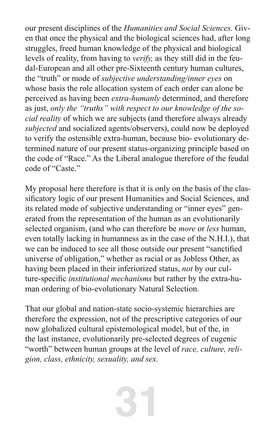our present disciplines of the *Humanities and Social Sciences.* Given that once the physical and the biological sciences had, after long struggles, freed human knowledge of the physical and biological levels of reality, from having to *verify,* as they still did in the feudal-European and all other pre-Sixteenth century human cultures, the "truth" or mode of *subjective understanding/inner eyes* on whose basis the role allocation system of each order can alone be perceived as having been *extra-humanly* determined, and therefore as just, *only the "truths" with respect to our knowledge of the social reality* of which we are subjects (and therefore always already *subjected* and socialized agents/observers), could now be deployed to verify the ostensible extra-human, because bio- evolutionary determined nature of our present status-organizing principle based on the code of "Race." As the Liberal analogue therefore of the feudal code of "Caste"

My proposal here therefore is that it is only on the basis of the classificatory logic of our present Humanities and Social Sciences, and its related mode of subjective understanding or "inner eyes" generated from the representation of the human as an evolutionarily selected organism, (and who can therefore be *more* or *less* human, even totally lacking in humanness as in the case of the N.H.I.), that we can be induced to see all those outside our present "sanctified" universe of obligation," whether as racial or as Jobless Other, as having been placed in their inferiorized status, *not* by our culture-specific *institutional mechanisms* but rather by the extra-human ordering of bio-evolutionary Natural Selection.

That our global and nation-state socio-systemic hierarchies are therefore the expression, not of the prescriptive categories of our now globalized cultural epistemological model, but of the, in the last instance, evolutionarily pre-selected degrees of eugenic "worth" between human groups at the level of *race, culture, religion, class, ethnicity, sexuality, and sex.*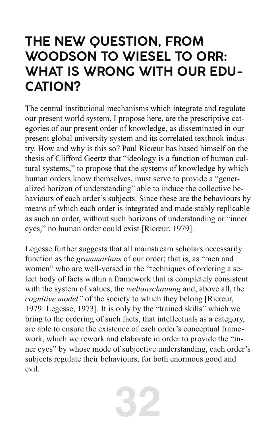#### **THE NEW QUESTION, FROM WOODSON TO WIESEL TO ORR: WHAT IS WRONG WITH OUR EDU-CATION?**

The central institutional mechanisms which integrate and regulate our present world system, I propose here, are the prescriptive categories of our present order of knowledge, as disseminated in our present global university system and its correlated textbook industry. How and why is this so? Paul Ricœur has based himself on the thesis of Clifford Geertz that "ideology is a function of human cultural systems," to propose that the systems of knowledge by which human orders know themselves, must serve to provide a "generalized horizon of understanding" able to induce the collective behaviours of each order's subjects. Since these are the behaviours by means of which each order is integrated and made stably replicable as such an order, without such horizons of understanding or "inner eyes," no human order could exist [Ricœur, 1979].

Legesse further suggests that all mainstream scholars necessarily function as the *grammarians* of our order; that is, as "men and women" who are well-versed in the "techniques of ordering a select body of facts within a framework that is completely consistent with the system of values, the *weltanschauung* and, above all, the *cognitive model"* of the society to which they belong [Ricœur, 1979: Legesse, 1973]. It is only by the "trained skills" which we bring to the ordering of such facts, that intellectuals as a category, are able to ensure the existence of each order's conceptual framework, which we rework and elaborate in order to provide the "inner eyes" by whose mode of subjective understanding, each order's subjects regulate their behaviours, for both enormous good and evil.

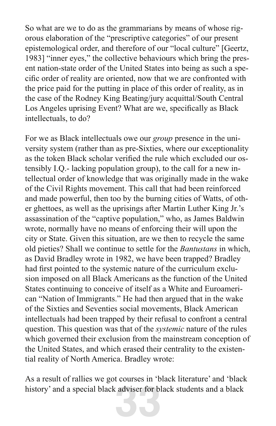So what are we to do as the grammarians by means of whose rigorous elaboration of the "prescriptive categories" of our present epistemological order, and therefore of our "local culture" [Geertz, 1983] "inner eyes," the collective behaviours which bring the present nation-state order of the United States into being as such a specific order of reality are oriented, now that we are confronted with the price paid for the putting in place of this order of reality, as in the case of the Rodney King Beating/jury acquittal/South Central Los Angeles uprising Event? What are we, specifically as Black intellectuals, to do?

For we as Black intellectuals owe our *group* presence in the university system (rather than as pre-Sixties, where our exceptionality as the token Black scholar verified the rule which excluded our ostensibly I.Q.- lacking population group), to the call for a new intellectual order of knowledge that was originally made in the wake of the Civil Rights movement. This call that had been reinforced and made powerful, then too by the burning cities of Watts, of other ghettoes, as well as the uprisings after Martin Luther King Jr.'s assassination of the "captive population," who, as James Baldwin wrote, normally have no means of enforcing their will upon the city or State. Given this situation, are we then to recycle the same old pieties? Shall we continue to settle for the *Bantustans* in which, as David Bradley wrote in 1982, we have been trapped? Bradley had first pointed to the systemic nature of the curriculum exclusion imposed on all Black Americans as the function of the United States continuing to conceive of itself as a White and Euroamerican "Nation of Immigrants." He had then argued that in the wake of the Sixties and Seventies social movements, Black American intellectuals had been trapped by their refusal to confront a central question. This question was that of the *systemic* nature of the rules which governed their exclusion from the mainstream conception of the United States, and which erased their centrality to the existential reality of North America. Bradley wrote:

history' and a special black adviser for black students and a black<br> **33** As a result of rallies we got courses in 'black literature' and 'black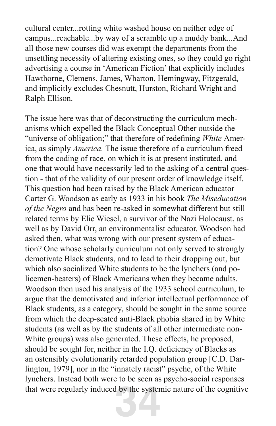cultural center...rotting white washed house on neither edge of campus...reachable...by way of a scramble up a muddy bank...And all those new courses did was exempt the departments from the unsettling necessity of altering existing ones, so they could go right advertising a course in 'American Fiction' that explicitly includes Hawthorne, Clemens, James, Wharton, Hemingway, Fitzgerald, and implicitly excludes Chesnutt, Hurston, Richard Wright and Ralph Ellison.

that were regularly induced by the systemic nature of the cognitive<br> **34 Exercise** The issue here was that of deconstructing the curriculum mechanisms which expelled the Black Conceptual Other outside the "universe of obligation;" that therefore of redefining *White Amer*ica, as simply *America.* The issue therefore of a curriculum freed from the coding of race, on which it is at present instituted, and one that would have necessarily led to the asking of a central question - that of the validity of our present order of knowledge itself. This question had been raised by the Black American educator Carter G. Woodson as early as 1933 in his book *The Miseducation of the Negro* and has been re-asked in somewhat different but still related terms by Elie Wiesel, a survivor of the Nazi Holocaust, as well as by David Orr, an environmentalist educator. Woodson had asked then, what was wrong with our present system of education? One whose scholarly curriculum not only served to strongly demotivate Black students, and to lead to their dropping out, but which also socialized White students to be the lynchers (and policemen-beaters) of Black Americans when they became adults. Woodson then used his analysis of the 1933 school curriculum, to argue that the demotivated and inferior intellectual performance of Black students, as a category, should be sought in the same source from which the deep-seated anti-Black phobia shared in by White students (as well as by the students of all other intermediate non-White groups) was also generated. These effects, he proposed, should be sought for, neither in the I.Q. deficiency of Blacks as an ostensibly evolutionarily retarded population group [C.D. Darlington, 1979], nor in the "innately racist" psyche, of the White lynchers. Instead both were to be seen as psycho-social responses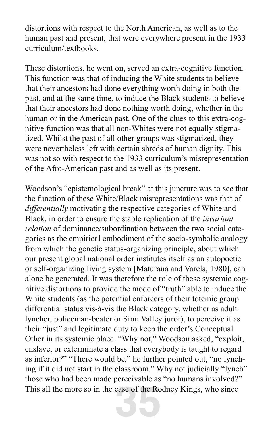distortions with respect to the North American, as well as to the human past and present, that were everywhere present in the 1933 curriculum/textbooks.

These distortions, he went on, served an extra-cognitive function. This function was that of inducing the White students to believe that their ancestors had done everything worth doing in both the past, and at the same time, to induce the Black students to believe that their ancestors had done nothing worth doing, whether in the human or in the American past. One of the clues to this extra-cognitive function was that all non-Whites were not equally stigmatized. Whilst the past of all other groups was stigmatized, they were nevertheless left with certain shreds of human dignity. This was not so with respect to the 1933 curriculum's misrepresentation of the Afro-American past and as well as its present.

This all the more so in the case of the Rodney Kings, who since Woodson's "epistemological break" at this juncture was to see that the function of these White/Black misrepresentations was that of *differentially* motivating the respective categories of White and Black, in order to ensure the stable replication of the *invariant relation* of dominance/subordination between the two social categories as the empirical embodiment of the socio-symbolic analogy from which the genetic status-organizing principle, about which our present global national order institutes itself as an autopoetic or self-organizing living system [Maturana and Varela, 1980], can alone be generated. It was therefore the role of these systemic cognitive distortions to provide the mode of "truth" able to induce the White students (as the potential enforcers of their totemic group differential status vis-à-vis the Black category, whether as adult lyncher, policeman-beater or Simi Valley juror), to perceive it as their "just" and legitimate duty to keep the order's Conceptual Other in its systemic place. "Why not," Woodson asked, "exploit, enslave, or exterminate a class that everybody is taught to regard as inferior?" "There would be," he further pointed out, "no lynching if it did not start in the classroom." Why not judicially "lynch" those who had been made perceivable as "no humans involved?"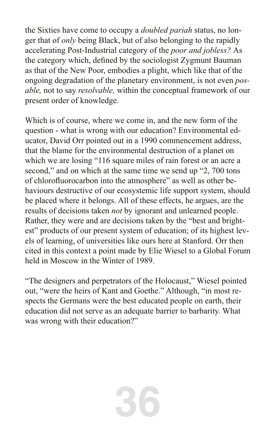the Sixties have come to occupy a *doubled pariah* status, no longer that of *only* being Black, but of also belonging to the rapidly accelerating Post-Industrial category of the *poor and jobless?* As the category which, defined by the sociologist Zygmunt Bauman as that of the New Poor, embodies a plight, which like that of the ongoing degradation of the planetary environment, is not even *posable,* not to say *resolvable,* within the conceptual framework of our present order of knowledge.

Which is of course, where we come in, and the new form of the question - what is wrong with our education? Environmental educator, David Orr pointed out in a 1990 commencement address, that the blame for the environmental destruction of a planet on which we are losing "116 square miles of rain forest or an acre a second," and on which at the same time we send up "2, 700 tons" of chlorofluorocarbon into the atmosphere" as well as other behaviours destructive of our ecosystemic life support system, should be placed where it belongs. All of these effects, he argues, are the results of decisions taken *not* by ignorant and unlearned people. Rather, they were and are decisions taken by the "best and brightest" products of our present system of education; of its highest levels of learning, of universities like ours here at Stanford. Orr then cited in this context a point made by Elie Wiesel to a Global Forum held in Moscow in the Winter of 1989.

"The designers and perpetrators of the Holocaust," Wiesel pointed out, "were the heirs of Kant and Goethe." Although, "in most respects the Germans were the best educated people on earth, their education did not serve as an adequate barrier to barbarity. What was wrong with their education?"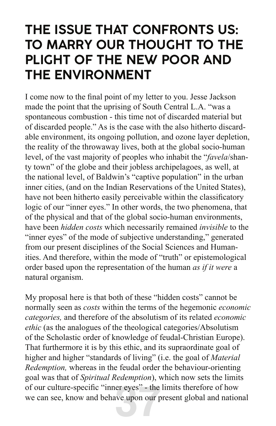#### **THE ISSUE THAT CONFRONTS US: TO MARRY OUR THOUGHT TO THE PLIGHT OF THE NEW POOR AND THE ENVIRONMENT**

I come now to the final point of my letter to you. Jesse Jackson made the point that the uprising of South Central L.A. "was a spontaneous combustion - this time not of discarded material but of discarded people." As is the case with the also hitherto discardable environment, its ongoing pollution, and ozone layer depletion, the reality of the throwaway lives, both at the global socio-human level, of the vast majority of peoples who inhabit the "*favela*/shanty town" of the globe and their jobless archipelagoes, as well, at the national level, of Baldwin's "captive population" in the urban inner cities, (and on the Indian Reservations of the United States), have not been hitherto easily perceivable within the classificatory logic of our "inner eyes." In other words, the two phenomena, that of the physical and that of the global socio-human environments, have been *hidden costs* which necessarily remained *invisible* to the "inner eyes" of the mode of subjective understanding," generated from our present disciplines of the Social Sciences and Humanities. And therefore, within the mode of "truth" or epistemological order based upon the representation of the human *as if it were* a natural organism.

er eyes - the<br>we upon our p My proposal here is that both of these "hidden costs" cannot be normally seen as *costs* within the terms of the hegemonic *economic categories,* and therefore of the absolutism of its related *economic ethic* (as the analogues of the theological categories/Absolutism of the Scholastic order of knowledge of feudal-Christian Europe). That furthermore it is by this ethic, and its supraordinate goal of higher and higher "standards of living" (i.e. the goal of *Material Redemption,* whereas in the feudal order the behaviour-orienting goal was that of *Spiritual Redemption*), which now sets the limits of our culture-specific "inner eyes" - the limits therefore of how we can see, know and behave upon our present global and national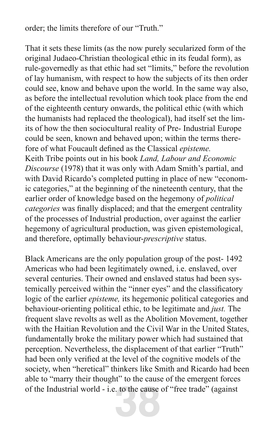order; the limits therefore of our "Truth."

That it sets these limits (as the now purely secularized form of the original Judaeo-Christian theological ethic in its feudal form), as rule-governedly as that ethic had set "limits," before the revolution of lay humanism, with respect to how the subjects of its then order could see, know and behave upon the world. In the same way also, as before the intellectual revolution which took place from the end of the eighteenth century onwards, the political ethic (with which the humanists had replaced the theological), had itself set the limits of how the then sociocultural reality of Pre- Industrial Europe could be seen, known and behaved upon; within the terms therefore of what Foucault defined as the Classical *episteme*. Keith Tribe points out in his book *Land, Labour and Economic Discourse* (1978) that it was only with Adam Smith's partial, and with David Ricardo's completed putting in place of new "economic categories," at the beginning of the nineteenth century, that the earlier order of knowledge based on the hegemony of *political categories* was finally displaced; and that the emergent centrality of the processes of Industrial production, over against the earlier hegemony of agricultural production, was given epistemological, and therefore, optimally behaviour-*prescriptive* status.

of the Industrial world - i.e. to the cause of "free trade" (against<br> $\blacksquare$ Black Americans are the only population group of the post- 1492 Americas who had been legitimately owned, i.e. enslaved, over several centuries. Their owned and enslaved status had been systemically perceived within the "inner eyes" and the classificatory logic of the earlier *episteme,* its hegemonic political categories and behaviour-orienting political ethic, to be legitimate and *just.* The frequent slave revolts as well as the Abolition Movement, together with the Haitian Revolution and the Civil War in the United States, fundamentally broke the military power which had sustained that perception. Nevertheless, the displacement of that earlier "Truth" had been only verified at the level of the cognitive models of the society, when "heretical" thinkers like Smith and Ricardo had been able to "marry their thought" to the cause of the emergent forces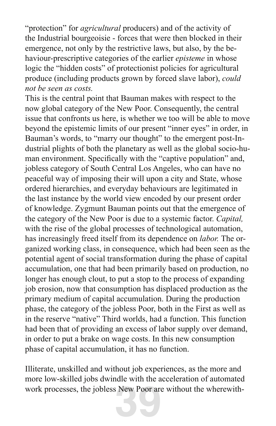"protection" for *agricultural* producers) and of the activity of the Industrial bourgeoisie - forces that were then blocked in their emergence, not only by the restrictive laws, but also, by the behaviour-prescriptive categories of the earlier *episteme* in whose logic the "hidden costs" of protectionist policies for agricultural produce (including products grown by forced slave labor), *could not be seen as costs.*

This is the central point that Bauman makes with respect to the now global category of the New Poor. Consequently, the central issue that confronts us here, is whether we too will be able to move beyond the epistemic limits of our present "inner eyes" in order, in Bauman's words, to "marry our thought" to the emergent post-Industrial plights of both the planetary as well as the global socio-human environment. Specifically with the "captive population" and, jobless category of South Central Los Angeles, who can have no peaceful way of imposing their will upon a city and State, whose ordered hierarchies, and everyday behaviours are legitimated in the last instance by the world view encoded by our present order of knowledge. Zygmunt Bauman points out that the emergence of the category of the New Poor is due to a systemic factor. *Capital,*  with the rise of the global processes of technological automation, has increasingly freed itself from its dependence on *labor.* The organized working class, in consequence, which had been seen as the potential agent of social transformation during the phase of capital accumulation, one that had been primarily based on production, no longer has enough clout, to put a stop to the process of expanding job erosion, now that consumption has displaced production as the primary medium of capital accumulation. During the production phase, the category of the jobless Poor, both in the First as well as in the reserve "native" Third worlds, had a function. This function had been that of providing an excess of labor supply over demand, in order to put a brake on wage costs. In this new consumption phase of capital accumulation, it has no function.

work processes, the jobless New Poor are without the wherewith-Illiterate, unskilled and without job experiences, as the more and more low-skilled jobs dwindle with the acceleration of automated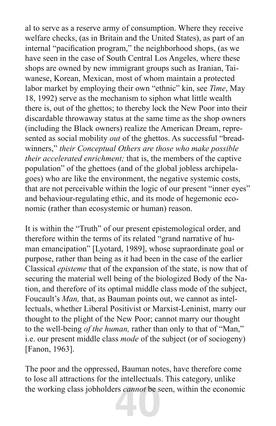al to serve as a reserve army of consumption. Where they receive welfare checks, (as in Britain and the United States), as part of an internal "pacification program," the neighborhood shops, (as we have seen in the case of South Central Los Angeles, where these shops are owned by new immigrant groups such as Iranian, Taiwanese, Korean, Mexican, most of whom maintain a protected labor market by employing their own "ethnic" kin, see *Time*, May 18, 1992) serve as the mechanism to siphon what little wealth there is, out of the ghettos; to thereby lock the New Poor into their discardable throwaway status at the same time as the shop owners (including the Black owners) realize the American Dream, represented as social mobility *out* of the ghettos. As successful "breadwinners," *their Conceptual Others are those who make possible their accelerated enrichment;* that is, the members of the captive population" of the ghettoes (and of the global jobless archipelagoes) who are like the environment, the negative systemic costs, that are not perceivable within the logic of our present "inner eyes" and behaviour-regulating ethic, and its mode of hegemonic economic (rather than ecosystemic or human) reason.

It is within the "Truth" of our present epistemological order, and therefore within the terms of its related "grand narrative of human emancipation" [Lyotard, 1989], whose supraordinate goal or purpose, rather than being as it had been in the case of the earlier Classical *episteme* that of the expansion of the state, is now that of securing the material well being of the biologized Body of the Nation, and therefore of its optimal middle class mode of the subject, Foucault's *Man,* that, as Bauman points out, we cannot as intellectuals, whether Liberal Positivist or Marxist-Leninist, marry our thought to the plight of the New Poor; cannot marry our thought to the well-being *of the human,* rather than only to that of "Man," i.e. our present middle class *mode* of the subject (or of sociogeny) [Fanon, 1963].

the working class jobholders *cannot* be seen, within the economic<br>  $\frac{d}{dx}$ The poor and the oppressed, Bauman notes, have therefore come to lose all attractions for the intellectuals. This category, unlike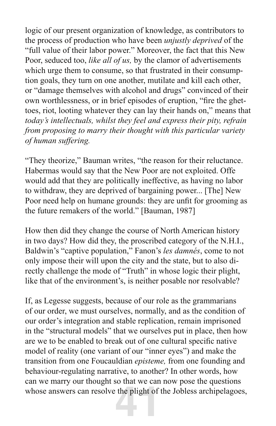logic of our present organization of knowledge, as contributors to the process of production who have been *unjustly deprived* of the "full value of their labor power." Moreover, the fact that this New Poor, seduced too, *like all of us,* by the clamor of advertisements which urge them to consume, so that frustrated in their consumption goals, they turn on one another, mutilate and kill each other, or "damage themselves with alcohol and drugs" convinced of their own worthlessness, or in brief episodes of eruption, "fire the ghettoes, riot, looting whatever they can lay their hands on," means that *today's intellectuals, whilst they feel and express their pity, refrain from proposing to marry their thought with this particular variety of human suffering.*

"They theorize," Bauman writes, "the reason for their reluctance. Habermas would say that the New Poor are not exploited. Offe would add that they are politically ineffective, as having no labor to withdraw, they are deprived of bargaining power... [The] New Poor need help on humane grounds: they are unfit for grooming as the future remakers of the world." [Bauman, 1987]

How then did they change the course of North American history in two days? How did they, the proscribed category of the N.H.I., Baldwin's "captive population," Fanon's *les damnés*, come to not only impose their will upon the city and the state, but to also directly challenge the mode of "Truth" in whose logic their plight, like that of the environment's, is neither posable nor resolvable?

whose answers can resolve the plight of the Jobless archipelagoes,<br> $\frac{1}{2}$ If, as Legesse suggests, because of our role as the grammarians of our order, we must ourselves, normally, and as the condition of our order's integration and stable replication, remain imprisoned in the "structural models" that we ourselves put in place, then how are we to be enabled to break out of one cultural specific native model of reality (one variant of our "inner eyes") and make the transition from one Foucauldian *episteme,* from one founding and behaviour-regulating narrative, to another? In other words, how can we marry our thought so that we can now pose the questions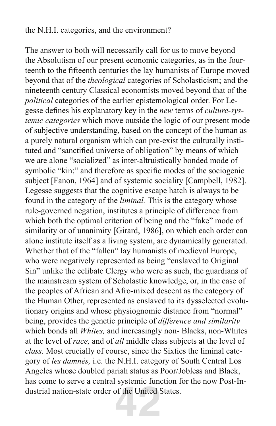#### the N.H.I. categories, and the environment?

dustrial nation-state order of the United States. The answer to both will necessarily call for us to move beyond the Absolutism of our present economic categories, as in the fourteenth to the fifteenth centuries the lay humanists of Europe moved beyond that of the *theological* categories of Scholasticism; and the nineteenth century Classical economists moved beyond that of the *political* categories of the earlier epistemological order. For Legesse defines his explanatory key in the *new* terms of *culture-systemic categories* which move outside the logic of our present mode of subjective understanding, based on the concept of the human as a purely natural organism which can pre-exist the culturally instituted and "sanctified universe of obligation" by means of which we are alone "socialized" as inter-altruistically bonded mode of symbolic "kin;" and therefore as specific modes of the sociogenic subject [Fanon, 1964] and of systemic sociality [Campbell, 1982]. Legesse suggests that the cognitive escape hatch is always to be found in the category of the *liminal.* This is the category whose rule-governed negation, institutes a principle of difference from which both the optimal criterion of being and the "fake" mode of similarity or of unanimity [Girard, 1986], on which each order can alone institute itself as a living system, are dynamically generated. Whether that of the "fallen" lay humanists of medieval Europe, who were negatively represented as being "enslaved to Original Sin" unlike the celibate Clergy who were as such, the guardians of the mainstream system of Scholastic knowledge, or, in the case of the peoples of African and Afro-mixed descent as the category of the Human Other, represented as enslaved to its dysselected evolutionary origins and whose physiognomic distance from "normal" being, provides the genetic principle of *difference and similarity*  which bonds all *Whites,* and increasingly non- Blacks, non-Whites at the level of *race,* and of *all* middle class subjects at the level of *class.* Most crucially of course, since the Sixties the liminal category of *les damnés,* i.e. the N.H.I. category of South Central Los Angeles whose doubled pariah status as Poor/Jobless and Black, has come to serve a central systemic function for the now Post-In-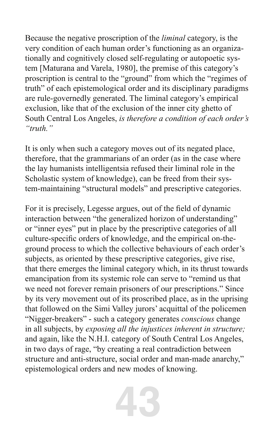Because the negative proscription of the *liminal* category, is the very condition of each human order's functioning as an organizationally and cognitively closed self-regulating or autopoetic system [Maturana and Varela, 1980], the premise of this category's proscription is central to the "ground" from which the "regimes of truth" of each epistemological order and its disciplinary paradigms are rule-governedly generated. The liminal category's empirical exclusion, like that of the exclusion of the inner city ghetto of South Central Los Angeles, *is therefore a condition of each order's "truth."*

It is only when such a category moves out of its negated place, therefore, that the grammarians of an order (as in the case where the lay humanists intelligentsia refused their liminal role in the Scholastic system of knowledge), can be freed from their system-maintaining "structural models" and prescriptive categories.

For it is precisely, Legesse argues, out of the field of dynamic interaction between "the generalized horizon of understanding" or "inner eyes" put in place by the prescriptive categories of all culture-specific orders of knowledge, and the empirical on-theground process to which the collective behaviours of each order's subjects, as oriented by these prescriptive categories, give rise, that there emerges the liminal category which, in its thrust towards emancipation from its systemic role can serve to "remind us that we need not forever remain prisoners of our prescriptions." Since by its very movement out of its proscribed place, as in the uprising that followed on the Simi Valley jurors' acquittal of the policemen "Nigger-breakers" - such a category generates *conscious* change in all subjects, by *exposing all the injustices inherent in structure;*  and again, like the N.H.I. category of South Central Los Angeles, in two days of rage, "by creating a real contradiction between structure and anti-structure, social order and man-made anarchy," epistemological orders and new modes of knowing.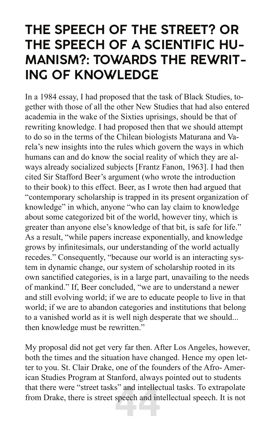#### **THE SPEECH OF THE STREET? OR THE SPEECH OF A SCIENTIFIC HU-MANISM?: TOWARDS THE REWRIT-ING OF KNOWLEDGE**

In a 1984 essay, I had proposed that the task of Black Studies, together with those of all the other New Studies that had also entered academia in the wake of the Sixties uprisings, should be that of rewriting knowledge. I had proposed then that we should attempt to do so in the terms of the Chilean biologists Maturana and Varela's new insights into the rules which govern the ways in which humans can and do know the social reality of which they are always already socialized subjects [Frantz Fanon, 1963]. I had then cited Sir Stafford Beer's argument (who wrote the introduction to their book) to this effect. Beer, as I wrote then had argued that "contemporary scholarship is trapped in its present organization of knowledge" in which, anyone "who can lay claim to knowledge about some categorized bit of the world, however tiny, which is greater than anyone else's knowledge of that bit, is safe for life." As a result, "while papers increase exponentially, and knowledge grows by infinitesimals, our understanding of the world actually recedes." Consequently, "because our world is an interacting system in dynamic change, our system of scholarship rooted in its own sanctified categories, is in a large part, unavailing to the needs of mankind." If, Beer concluded, "we are to understand a newer and still evolving world; if we are to educate people to live in that world; if we are to abandon categories and institutions that belong to a vanished world as it is well nigh desperate that we should... then knowledge must be rewritten."

s and intellected and intellected and intellected and intellected and intellected and intellected and intellected and intellected and intellected and intellected and intellected and intellected and intellected and intellec My proposal did not get very far then. After Los Angeles, however, both the times and the situation have changed. Hence my open letter to you. St. Clair Drake, one of the founders of the Afro- American Studies Program at Stanford, always pointed out to students that there were "street tasks" and intellectual tasks. To extrapolate from Drake, there is street speech and intellectual speech. It is not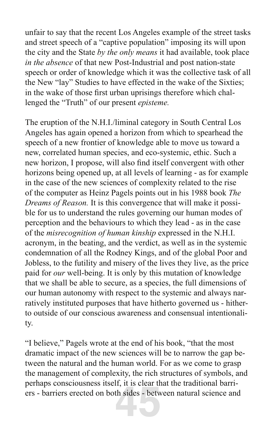unfair to say that the recent Los Angeles example of the street tasks and street speech of a "captive population" imposing its will upon the city and the State *by the only means* it had available, took place *in the absence* of that new Post-Industrial and post nation-state speech or order of knowledge which it was the collective task of all the New "lay" Studies to have effected in the wake of the Sixties; in the wake of those first urban uprisings therefore which challenged the "Truth" of our present *episteme.*

The eruption of the N.H.I./liminal category in South Central Los Angeles has again opened a horizon from which to spearhead the speech of a new frontier of knowledge able to move us toward a new, correlated human species, and eco-systemic, ethic. Such a new horizon, I propose, will also find itself convergent with other horizons being opened up, at all levels of learning - as for example in the case of the new sciences of complexity related to the rise of the computer as Heinz Pagels points out in his 1988 book *The Dreams of Reason.* It is this convergence that will make it possible for us to understand the rules governing our human modes of perception and the behaviours to which they lead - as in the case of the *misrecognition of human kinship* expressed in the N.H.I. acronym, in the beating, and the verdict, as well as in the systemic condemnation of all the Rodney Kings, and of the global Poor and Jobless, to the futility and misery of the lives they live, as the price paid for *our* well-being. It is only by this mutation of knowledge that we shall be able to secure, as a species, the full dimensions of our human autonomy with respect to the systemic and always narratively instituted purposes that have hitherto governed us - hitherto outside of our conscious awareness and consensual intentionality.

ers - barriers erected on both sides - between natural science and<br> **4** "I believe," Pagels wrote at the end of his book, "that the most dramatic impact of the new sciences will be to narrow the gap between the natural and the human world. For as we come to grasp the management of complexity, the rich structures of symbols, and perhaps consciousness itself, it is clear that the traditional barri-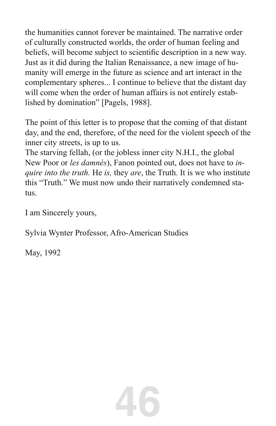the humanities cannot forever be maintained. The narrative order of culturally constructed worlds, the order of human feeling and beliefs, will become subject to scientific description in a new way. Just as it did during the Italian Renaissance, a new image of humanity will emerge in the future as science and art interact in the complementary spheres... I continue to believe that the distant day will come when the order of human affairs is not entirely established by domination" [Pagels, 1988].

The point of this letter is to propose that the coming of that distant day, and the end, therefore, of the need for the violent speech of the inner city streets, is up to us.

The starving fellah, (or the jobless inner city N.H.I., the global New Poor or *les damnés*), Fanon pointed out, does not have to *inquire into the truth.* He *is,* they *are*, the Truth. It is we who institute this "Truth." We must now undo their narratively condemned status.

I am Sincerely yours,

Sylvia Wynter Professor, Afro-American Studies

May, 1992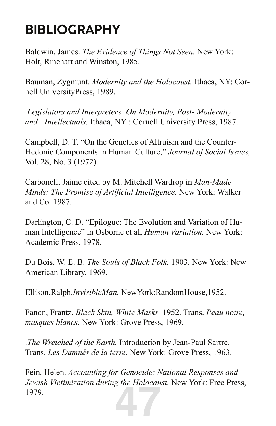## **BIBLIOGRAPHY**

Baldwin, James. *The Evidence of Things Not Seen.* New York: Holt, Rinehart and Winston, 1985.

Bauman, Zygmunt. *Modernity and the Holocaust.* Ithaca, NY: Cornell UniversityPress, 1989.

.*Legislators and Interpreters: On Modernity, Post- Modernity and Intellectuals.* Ithaca, NY : Cornell University Press, 1987.

Campbell, D. T. "On the Genetics of Altruism and the Counter-Hedonic Components in Human Culture," *Journal of Social Issues,*  Vol. 28, No. 3 (1972).

Carbonell, Jaime cited by M. Mitchell Wardrop in *Man-Made Minds: The Promise of Artificial Intelligence.* New York: Walker and Co. 1987.

Darlington, C. D. "Epilogue: The Evolution and Variation of Human Intelligence" in Osborne et al, *Human Variation.* New York: Academic Press, 1978.

Du Bois, W. E. B. *The Souls of Black Folk.* 1903. New York: New American Library, 1969.

Ellison,Ralph.*InvisibleMan.* NewYork:RandomHouse,1952.

Fanon, Frantz. *Black Skin, White Masks.* 1952. Trans. *Peau noire, masques blancs.* New York: Grove Press, 1969.

.*The Wretched of the Earth.* Introduction by Jean-Paul Sartre. Trans. *Les Damnés de la terre.* New York: Grove Press, 1963.

**47** Fein, Helen. *Accounting for Genocide: National Responses and Jewish Victimization during the Holocaust.* New York: Free Press, 1979.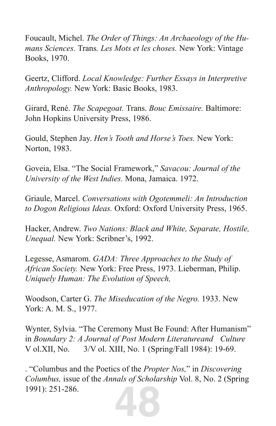Foucault, Michel. *The Order of Things: An Archaeology of the Humans Sciences.* Trans*. Les Mots et les choses.* New York: Vintage Books, 1970.

Geertz, Clifford. *Local Knowledge: Further Essays in Interpretive Anthropology.* New York: Basic Books, 1983.

Girard, René. *The Scapegoat.* Trans. *Bouc Emissaire.* Baltimore: John Hopkins University Press, 1986.

Gould, Stephen Jay. *Hen's Tooth and Horse's Toes.* New York: Norton, 1983.

Goveia, Elsa. "The Social Framework," *Savacou: Journal of the University of the West Indies.* Mona, Jamaica. 1972.

Griaule, Marcel. *Conversations with Ogotemmeli: An Introduction to Dogon Religious Ideas.* Oxford: Oxford University Press, 1965.

Hacker, Andrew. *Two Nations: Black and White, Separate, Hostile, Unequal.* New York: Scribner's, 1992.

Legesse, Asmarom. *GADA: Three Approaches to the Study of African Society.* New York: Free Press, 1973. Lieberman, Philip. *Uniquely Human: The Evolution of Speech,*

Woodson, Carter G. *The Miseducation of the Negro.* 1933. New York: A. M. S., 1977.

Wynter, Sylvia. "The Ceremony Must Be Found: After Humanism" in *Boundary 2: A Journal of Post Modern Literature and Culture*  V ol.XII, No. 3/V ol. XIII, No. 1 (Spring/Fall 1984): 19-69.

. "Columbus and the Poetics of the *Propter Nos,*" in *Discovering Columbus,* issue of the *Annals of Scholarship* Vol. 8, No. 2 (Spring 1991): 251-286.

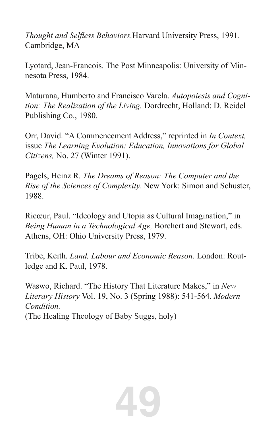*Thought and Selfless Behaviors.Harvard University Press, 1991.* Cambridge, MA

Lyotard, Jean-Francois. The Post Minneapolis: University of Minnesota Press, 1984.

Maturana, Humberto and Francisco Varela. *Autopoiesis and Cognition: The Realization of the Living.* Dordrecht, Holland: D. Reidel Publishing Co., 1980.

Orr, David. "A Commencement Address," reprinted in *In Context,*  issue *The Learning Evolution: Education, Innovations for Global Citizens,* No. 27 (Winter 1991).

Pagels, Heinz R. *The Dreams of Reason: The Computer and the Rise of the Sciences of Complexity.* New York: Simon and Schuster, 1988.

Ricœur, Paul. "Ideology and Utopia as Cultural Imagination," in *Being Human in a Technological Age,* Borchert and Stewart, eds. Athens, OH: Ohio University Press, 1979.

Tribe, Keith. *Land, Labour and Economic Reason.* London: Routledge and K. Paul, 1978.

Waswo, Richard. "The History That Literature Makes," in *New Literary History* Vol. 19, No. 3 (Spring 1988): 541-564. *Modern Condition.* (The Healing Theology of Baby Suggs, holy)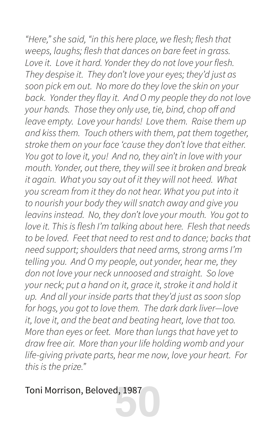*"Here," she said, "in this here place, we flesh; flesh that weeps, laughs; flesh that dances on bare feet in grass.*  Love it. Love it hard. Yonder they do not love your flesh. *They despise it. They don't love your eyes; they'd just as soon pick em out. No more do they love the skin on your back. Yonder they flay it. And O my people they do not love your hands. Those they only use, tie, bind, chop off and leave empty. Love your hands! Love them. Raise them up and kiss them. Touch others with them, pat them together, stroke them on your face 'cause they don't love that either. You got to love it, you! And no, they ain't in love with your mouth. Yonder, out there, they will see it broken and break it again. What you say out of it they will not heed. What you scream from it they do not hear. What you put into it to nourish your body they will snatch away and give you leavins instead. No, they don't love your mouth. You got to love it. This is flesh I'm talking about here. Flesh that needs to be loved. Feet that need to rest and to dance; backs that need support; shoulders that need arms, strong arms I'm telling you. And O my people, out yonder, hear me, they don not love your neck unnoosed and straight. So love your neck; put a hand on it, grace it, stroke it and hold it up. And all your inside parts that they'd just as soon slop for hogs, you got to love them. The dark dark liver—love it, love it, and the beat and beating heart, love that too. More than eyes or feet. More than lungs that have yet to draw free air. More than your life holding womb and your life-giving private parts, hear me now, love your heart. For this is the prize."* 

**f**, 1987 Toni Morrison, Beloved, 1987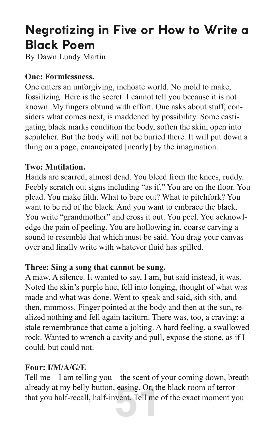## **Negrotizing in Five or How to Write a Black Poem**

By Dawn Lundy Martin

#### **One: Formlessness.**

One enters an unforgiving, inchoate world. No mold to make, fossilizing. Here is the secret: I cannot tell you because it is not known. My fingers obtund with effort. One asks about stuff, considers what comes next, is maddened by possibility. Some castigating black marks condition the body, soften the skin, open into sepulcher. But the body will not be buried there. It will put down a thing on a page, emancipated [nearly] by the imagination.

#### **Two: Mutilation.**

Hands are scarred, almost dead. You bleed from the knees, ruddy. Feebly scratch out signs including "as if." You are on the floor. You plead. You make filth. What to bare out? What to pitchfork? You want to be rid of the black. And you want to embrace the black. You write "grandmother" and cross it out. You peel. You acknowledge the pain of peeling. You are hollowing in, coarse carving a sound to resemble that which must be said. You drag your canvas over and finally write with whatever fluid has spilled.

#### **Three: Sing a song that cannot be sung.**

A maw. A silence. It wanted to say, I am, but said instead, it was. Noted the skin's purple hue, fell into longing, thought of what was made and what was done. Went to speak and said, sith sith, and then, mmmoss. Finger pointed at the body and then at the sun, realized nothing and fell again taciturn. There was, too, a craving: a stale remembrance that came a jolting. A hard feeling, a swallowed rock. Wanted to wrench a cavity and pull, expose the stone, as if I could, but could not.

#### **Four: I/M/A/G/E**

easing. Or, the vent. Tell me Tell me—I am telling you—the scent of your coming down, breath already at my belly button, easing. Or, the black room of terror that you half-recall, half-invent. Tell me of the exact moment you